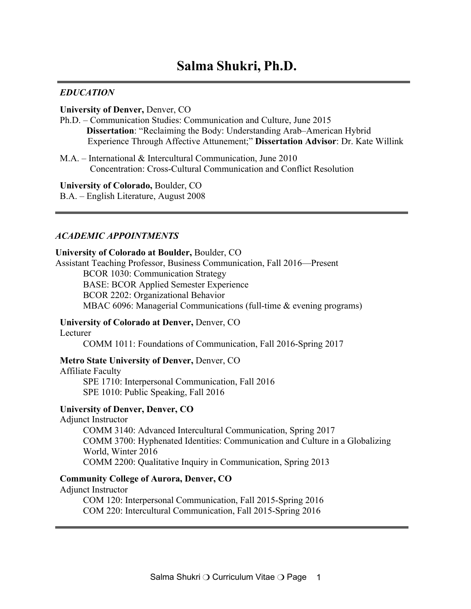# **Salma Shukri, Ph.D.**

#### *EDUCATION*

#### **University of Denver,** Denver, CO

- Ph.D. Communication Studies: Communication and Culture, June 2015 **Dissertation**: "Reclaiming the Body: Understanding Arab–American Hybrid Experience Through Affective Attunement;" **Dissertation Advisor**: Dr. Kate Willink
- M.A. International & Intercultural Communication, June 2010 Concentration: Cross-Cultural Communication and Conflict Resolution

#### **University of Colorado,** Boulder, CO

B.A. – English Literature, August 2008

#### *ACADEMIC APPOINTMENTS*

#### **University of Colorado at Boulder,** Boulder, CO

Assistant Teaching Professor, Business Communication, Fall 2016—Present

BCOR 1030: Communication Strategy

BASE: BCOR Applied Semester Experience BCOR 2202: Organizational Behavior MBAC 6096: Managerial Communications (full-time & evening programs)

### **University of Colorado at Denver,** Denver, CO

Lecturer

COMM 1011: Foundations of Communication, Fall 2016-Spring 2017

#### **Metro State University of Denver,** Denver, CO

Affiliate Faculty SPE 1710: Interpersonal Communication, Fall 2016 SPE 1010: Public Speaking, Fall 2016

#### **University of Denver, Denver, CO**

Adjunct Instructor

COMM 3140: Advanced Intercultural Communication, Spring 2017 COMM 3700: Hyphenated Identities: Communication and Culture in a Globalizing World, Winter 2016 COMM 2200: Qualitative Inquiry in Communication, Spring 2013

#### **Community College of Aurora, Denver, CO**

Adjunct Instructor

COM 120: Interpersonal Communication, Fall 2015-Spring 2016 COM 220: Intercultural Communication, Fall 2015-Spring 2016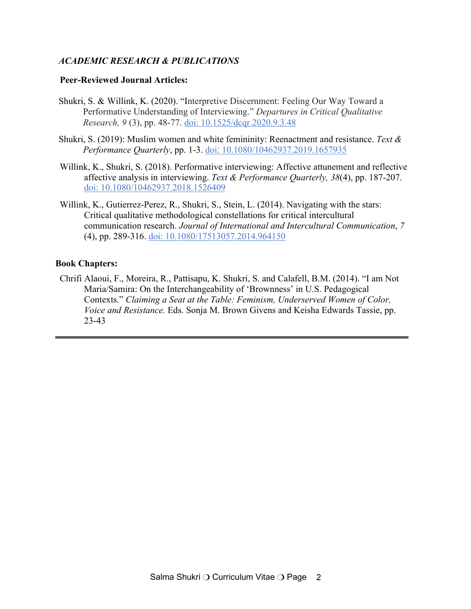# *ACADEMIC RESEARCH & PUBLICATIONS*

### **Peer-Reviewed Journal Articles:**

- Shukri, S. & Willink, K. (2020). "Interpretive Discernment: Feeling Our Way Toward a Performative Understanding of Interviewing." *Departures in Critical Qualitative Research, 9* (3), pp. 48-77. doi: 10.1525/dcqr.2020.9.3.48
- Shukri, S. (2019): Muslim women and white femininity: Reenactment and resistance. *Text & Performance Quarterly*, pp. 1-3. doi: 10.1080/10462937.2019.1657935
- Willink, K., Shukri, S. (2018). Performative interviewing: Affective attunement and reflective affective analysis in interviewing. *Text & Performance Quarterly, 38*(4), pp. 187-207. doi: 10.1080/10462937.2018.1526409
- Willink, K., Gutierrez-Perez, R., Shukri, S., Stein, L. (2014). Navigating with the stars: Critical qualitative methodological constellations for critical intercultural communication research. *Journal of International and Intercultural Communication*, *7*  (4), pp. 289-316. doi: 10.1080/17513057.2014.964150

# **Book Chapters:**

Chrifi Alaoui, F., Moreira, R., Pattisapu, K. Shukri, S. and Calafell, B.M. (2014). "I am Not Maria/Samira: On the Interchangeability of 'Brownness' in U.S. Pedagogical Contexts." *Claiming a Seat at the Table: Feminism, Underserved Women of Color, Voice and Resistance.* Eds. Sonja M. Brown Givens and Keisha Edwards Tassie, pp. 23-43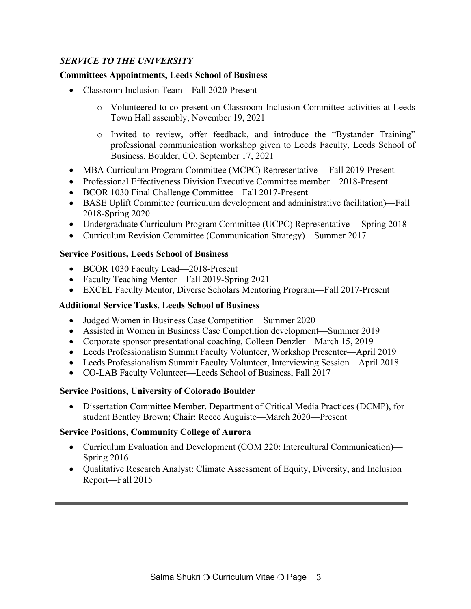# *SERVICE TO THE UNIVERSITY*

# **Committees Appointments, Leeds School of Business**

- Classroom Inclusion Team—Fall 2020-Present
	- o Volunteered to co-present on Classroom Inclusion Committee activities at Leeds Town Hall assembly, November 19, 2021
	- o Invited to review, offer feedback, and introduce the "Bystander Training" professional communication workshop given to Leeds Faculty, Leeds School of Business, Boulder, CO, September 17, 2021
- MBA Curriculum Program Committee (MCPC) Representative— Fall 2019-Present
- Professional Effectiveness Division Executive Committee member—2018-Present
- BCOR 1030 Final Challenge Committee—Fall 2017-Present
- BASE Uplift Committee (curriculum development and administrative facilitation)—Fall 2018-Spring 2020
- Undergraduate Curriculum Program Committee (UCPC) Representative— Spring 2018
- Curriculum Revision Committee (Communication Strategy)—Summer 2017

# **Service Positions, Leeds School of Business**

- BCOR 1030 Faculty Lead—2018-Present
- Faculty Teaching Mentor—Fall 2019-Spring 2021
- EXCEL Faculty Mentor, Diverse Scholars Mentoring Program—Fall 2017-Present

### **Additional Service Tasks, Leeds School of Business**

- Judged Women in Business Case Competition—Summer 2020
- Assisted in Women in Business Case Competition development—Summer 2019
- Corporate sponsor presentational coaching, Colleen Denzler—March 15, 2019
- Leeds Professionalism Summit Faculty Volunteer, Workshop Presenter—April 2019
- Leeds Professionalism Summit Faculty Volunteer, Interviewing Session—April 2018
- CO-LAB Faculty Volunteer—Leeds School of Business, Fall 2017

### **Service Positions, University of Colorado Boulder**

• Dissertation Committee Member, Department of Critical Media Practices (DCMP), for student Bentley Brown; Chair: Reece Auguiste—March 2020—Present

### **Service Positions, Community College of Aurora**

- Curriculum Evaluation and Development (COM 220: Intercultural Communication)— Spring 2016
- Qualitative Research Analyst: Climate Assessment of Equity, Diversity, and Inclusion Report—Fall 2015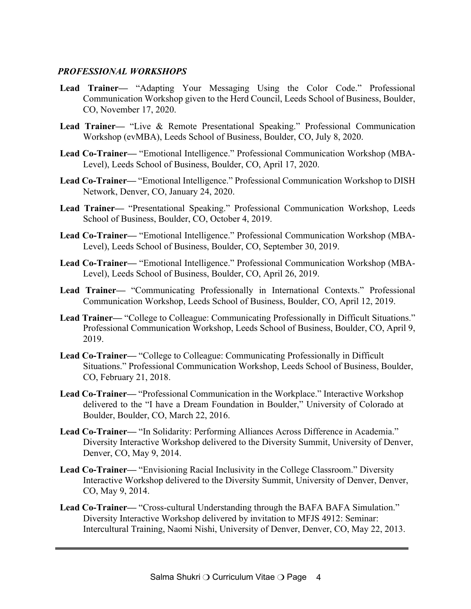### *PROFESSIONAL WORKSHOPS*

- **Lead Trainer—** "Adapting Your Messaging Using the Color Code." Professional Communication Workshop given to the Herd Council, Leeds School of Business, Boulder, CO, November 17, 2020.
- **Lead Trainer—** "Live & Remote Presentational Speaking." Professional Communication Workshop (evMBA), Leeds School of Business, Boulder, CO, July 8, 2020.
- **Lead Co-Trainer—** "Emotional Intelligence." Professional Communication Workshop (MBA-Level), Leeds School of Business, Boulder, CO, April 17, 2020.
- **Lead Co-Trainer—** "Emotional Intelligence." Professional Communication Workshop to DISH Network, Denver, CO, January 24, 2020.
- **Lead Trainer—** "Presentational Speaking." Professional Communication Workshop, Leeds School of Business, Boulder, CO, October 4, 2019.
- **Lead Co-Trainer—** "Emotional Intelligence." Professional Communication Workshop (MBA-Level), Leeds School of Business, Boulder, CO, September 30, 2019.
- **Lead Co-Trainer—** "Emotional Intelligence." Professional Communication Workshop (MBA-Level), Leeds School of Business, Boulder, CO, April 26, 2019.
- **Lead Trainer—** "Communicating Professionally in International Contexts." Professional Communication Workshop, Leeds School of Business, Boulder, CO, April 12, 2019.
- Lead Trainer— "College to Colleague: Communicating Professionally in Difficult Situations." Professional Communication Workshop, Leeds School of Business, Boulder, CO, April 9, 2019.
- **Lead Co-Trainer—** "College to Colleague: Communicating Professionally in Difficult Situations." Professional Communication Workshop, Leeds School of Business, Boulder, CO, February 21, 2018.
- **Lead Co-Trainer—** "Professional Communication in the Workplace." Interactive Workshop delivered to the "I have a Dream Foundation in Boulder," University of Colorado at Boulder, Boulder, CO, March 22, 2016.
- **Lead Co-Trainer—** "In Solidarity: Performing Alliances Across Difference in Academia." Diversity Interactive Workshop delivered to the Diversity Summit, University of Denver, Denver, CO, May 9, 2014.
- **Lead Co-Trainer—** "Envisioning Racial Inclusivity in the College Classroom." Diversity Interactive Workshop delivered to the Diversity Summit, University of Denver, Denver, CO, May 9, 2014.
- **Lead Co-Trainer—** "Cross-cultural Understanding through the BAFA BAFA Simulation." Diversity Interactive Workshop delivered by invitation to MFJS 4912: Seminar: Intercultural Training, Naomi Nishi, University of Denver, Denver, CO, May 22, 2013.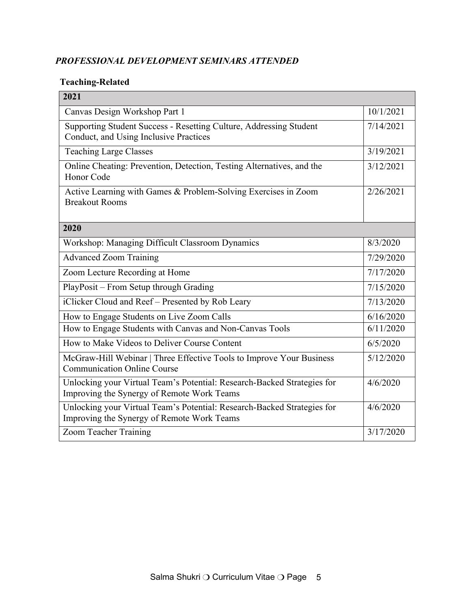# *PROFESSIONAL DEVELOPMENT SEMINARS ATTENDED*

# **Teaching-Related**

| 2021                                                                                                                  |           |
|-----------------------------------------------------------------------------------------------------------------------|-----------|
| Canvas Design Workshop Part 1                                                                                         | 10/1/2021 |
| Supporting Student Success - Resetting Culture, Addressing Student<br>Conduct, and Using Inclusive Practices          | 7/14/2021 |
| <b>Teaching Large Classes</b>                                                                                         | 3/19/2021 |
| Online Cheating: Prevention, Detection, Testing Alternatives, and the<br>Honor Code                                   | 3/12/2021 |
| Active Learning with Games & Problem-Solving Exercises in Zoom<br><b>Breakout Rooms</b>                               | 2/26/2021 |
| 2020                                                                                                                  |           |
| Workshop: Managing Difficult Classroom Dynamics                                                                       | 8/3/2020  |
| <b>Advanced Zoom Training</b>                                                                                         | 7/29/2020 |
| Zoom Lecture Recording at Home                                                                                        | 7/17/2020 |
| PlayPosit - From Setup through Grading                                                                                | 7/15/2020 |
| iClicker Cloud and Reef - Presented by Rob Leary                                                                      | 7/13/2020 |
| How to Engage Students on Live Zoom Calls                                                                             | 6/16/2020 |
| How to Engage Students with Canvas and Non-Canvas Tools                                                               | 6/11/2020 |
| How to Make Videos to Deliver Course Content                                                                          | 6/5/2020  |
| McGraw-Hill Webinar   Three Effective Tools to Improve Your Business<br><b>Communication Online Course</b>            | 5/12/2020 |
| Unlocking your Virtual Team's Potential: Research-Backed Strategies for<br>Improving the Synergy of Remote Work Teams | 4/6/2020  |
| Unlocking your Virtual Team's Potential: Research-Backed Strategies for<br>Improving the Synergy of Remote Work Teams | 4/6/2020  |
| Zoom Teacher Training                                                                                                 | 3/17/2020 |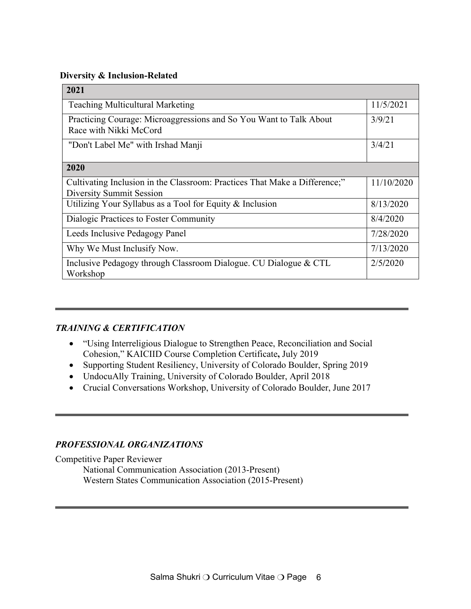#### **Diversity & Inclusion-Related**

| 2021                                                                                                   |            |  |
|--------------------------------------------------------------------------------------------------------|------------|--|
| <b>Teaching Multicultural Marketing</b>                                                                | 11/5/2021  |  |
| Practicing Courage: Microaggressions and So You Want to Talk About<br>Race with Nikki McCord           | 3/9/21     |  |
| "Don't Label Me" with Irshad Manji                                                                     | 3/4/21     |  |
| 2020                                                                                                   |            |  |
| Cultivating Inclusion in the Classroom: Practices That Make a Difference;"<br>Diversity Summit Session | 11/10/2020 |  |
| Utilizing Your Syllabus as a Tool for Equity $&$ Inclusion                                             | 8/13/2020  |  |
| Dialogic Practices to Foster Community                                                                 | 8/4/2020   |  |
| Leeds Inclusive Pedagogy Panel                                                                         | 7/28/2020  |  |
| Why We Must Inclusify Now.                                                                             | 7/13/2020  |  |
| Inclusive Pedagogy through Classroom Dialogue. CU Dialogue & CTL<br>Workshop                           | 2/5/2020   |  |

# *TRAINING & CERTIFICATION*

- "Using Interreligious Dialogue to Strengthen Peace, Reconciliation and Social Cohesion," KAICIID Course Completion Certificate**,** July 2019
- Supporting Student Resiliency, University of Colorado Boulder, Spring 2019
- UndocuAlly Training, University of Colorado Boulder, April 2018
- Crucial Conversations Workshop, University of Colorado Boulder, June 2017

# *PROFESSIONAL ORGANIZATIONS*

Competitive Paper Reviewer

National Communication Association (2013-Present) Western States Communication Association (2015-Present)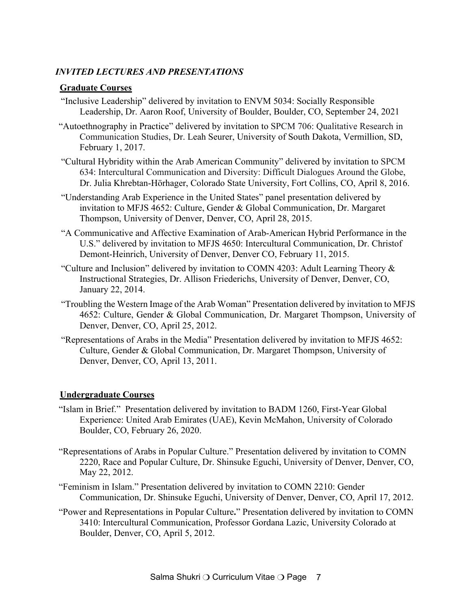# *INVITED LECTURES AND PRESENTATIONS*

# **Graduate Courses**

- "Inclusive Leadership" delivered by invitation to ENVM 5034: Socially Responsible Leadership, Dr. Aaron Roof, University of Boulder, Boulder, CO, September 24, 2021
- "Autoethnography in Practice" delivered by invitation to SPCM 706: Qualitative Research in Communication Studies, Dr. Leah Seurer, University of South Dakota, Vermillion, SD, February 1, 2017.
- "Cultural Hybridity within the Arab American Community" delivered by invitation to SPCM 634: Intercultural Communication and Diversity: Difficult Dialogues Around the Globe, Dr. Julia Khrebtan-Hörhager, Colorado State University, Fort Collins, CO, April 8, 2016.
- "Understanding Arab Experience in the United States" panel presentation delivered by invitation to MFJS 4652: Culture, Gender & Global Communication, Dr. Margaret Thompson, University of Denver, Denver, CO, April 28, 2015.
- "A Communicative and Affective Examination of Arab-American Hybrid Performance in the U.S." delivered by invitation to MFJS 4650: Intercultural Communication, Dr. Christof Demont-Heinrich, University of Denver, Denver CO, February 11, 2015.
- "Culture and Inclusion" delivered by invitation to COMN 4203: Adult Learning Theory & Instructional Strategies, Dr. Allison Friederichs, University of Denver, Denver, CO, January 22, 2014.
- "Troubling the Western Image of the Arab Woman" Presentation delivered by invitation to MFJS 4652: Culture, Gender & Global Communication, Dr. Margaret Thompson, University of Denver, Denver, CO, April 25, 2012.
- "Representations of Arabs in the Media" Presentation delivered by invitation to MFJS 4652: Culture, Gender & Global Communication, Dr. Margaret Thompson, University of Denver, Denver, CO, April 13, 2011.

# **Undergraduate Courses**

- "Islam in Brief." Presentation delivered by invitation to BADM 1260, First-Year Global Experience: United Arab Emirates (UAE), Kevin McMahon, University of Colorado Boulder, CO, February 26, 2020.
- "Representations of Arabs in Popular Culture." Presentation delivered by invitation to COMN 2220, Race and Popular Culture, Dr. Shinsuke Eguchi, University of Denver, Denver, CO, May 22, 2012.
- "Feminism in Islam." Presentation delivered by invitation to COMN 2210: Gender Communication, Dr. Shinsuke Eguchi, University of Denver, Denver, CO, April 17, 2012.
- "Power and Representations in Popular Culture**.**" Presentation delivered by invitation to COMN 3410: Intercultural Communication, Professor Gordana Lazic, University Colorado at Boulder, Denver, CO, April 5, 2012.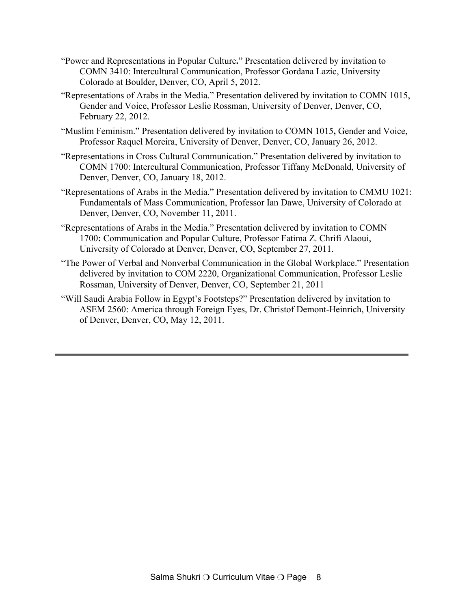- "Power and Representations in Popular Culture**.**" Presentation delivered by invitation to COMN 3410: Intercultural Communication, Professor Gordana Lazic, University Colorado at Boulder, Denver, CO, April 5, 2012.
- "Representations of Arabs in the Media." Presentation delivered by invitation to COMN 1015, Gender and Voice, Professor Leslie Rossman, University of Denver, Denver, CO, February 22, 2012.
- "Muslim Feminism." Presentation delivered by invitation to COMN 1015**,** Gender and Voice, Professor Raquel Moreira, University of Denver, Denver, CO, January 26, 2012.
- "Representations in Cross Cultural Communication." Presentation delivered by invitation to COMN 1700: Intercultural Communication, Professor Tiffany McDonald, University of Denver, Denver, CO, January 18, 2012.
- "Representations of Arabs in the Media." Presentation delivered by invitation to CMMU 1021: Fundamentals of Mass Communication, Professor Ian Dawe, University of Colorado at Denver, Denver, CO, November 11, 2011.
- "Representations of Arabs in the Media." Presentation delivered by invitation to COMN 1700**:** Communication and Popular Culture, Professor Fatima Z. Chrifi Alaoui, University of Colorado at Denver, Denver, CO, September 27, 2011.
- "The Power of Verbal and Nonverbal Communication in the Global Workplace." Presentation delivered by invitation to COM 2220, Organizational Communication, Professor Leslie Rossman, University of Denver, Denver, CO, September 21, 2011
- "Will Saudi Arabia Follow in Egypt's Footsteps?" Presentation delivered by invitation to ASEM 2560: America through Foreign Eyes, Dr. Christof Demont-Heinrich, University of Denver, Denver, CO, May 12, 2011.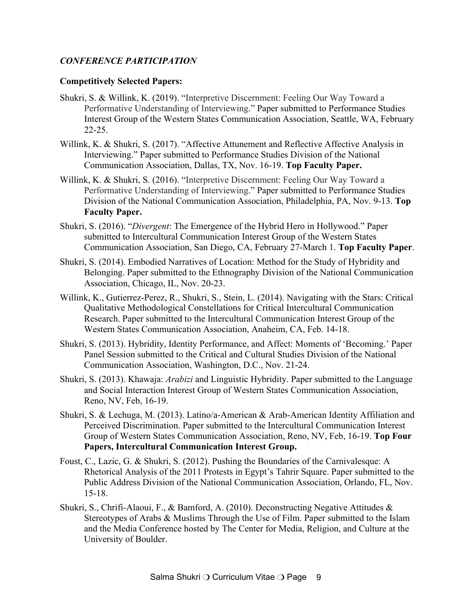# *CONFERENCE PARTICIPATION*

### **Competitively Selected Papers:**

- Shukri, S. & Willink, K. (2019). "Interpretive Discernment: Feeling Our Way Toward a Performative Understanding of Interviewing." Paper submitted to Performance Studies Interest Group of the Western States Communication Association, Seattle, WA, February 22-25.
- Willink, K. & Shukri, S. (2017). "Affective Attunement and Reflective Affective Analysis in Interviewing." Paper submitted to Performance Studies Division of the National Communication Association, Dallas, TX, Nov. 16-19. **Top Faculty Paper.**
- Willink, K. & Shukri, S. (2016). "Interpretive Discernment: Feeling Our Way Toward a Performative Understanding of Interviewing." Paper submitted to Performance Studies Division of the National Communication Association, Philadelphia, PA, Nov. 9-13. **Top Faculty Paper.**
- Shukri, S. (2016). "*Divergent*: The Emergence of the Hybrid Hero in Hollywood." Paper submitted to Intercultural Communication Interest Group of the Western States Communication Association, San Diego, CA, February 27-March 1. **Top Faculty Paper**.
- Shukri, S. (2014). Embodied Narratives of Location: Method for the Study of Hybridity and Belonging. Paper submitted to the Ethnography Division of the National Communication Association, Chicago, IL, Nov. 20-23.
- Willink, K., Gutierrez-Perez, R., Shukri, S., Stein, L. (2014). Navigating with the Stars: Critical Qualitative Methodological Constellations for Critical Intercultural Communication Research. Paper submitted to the Intercultural Communication Interest Group of the Western States Communication Association, Anaheim, CA, Feb. 14-18.
- Shukri, S. (2013). Hybridity, Identity Performance, and Affect: Moments of 'Becoming.' Paper Panel Session submitted to the Critical and Cultural Studies Division of the National Communication Association, Washington, D.C., Nov. 21-24.
- Shukri, S. (2013). Khawaja: *Arabizi* and Linguistic Hybridity. Paper submitted to the Language and Social Interaction Interest Group of Western States Communication Association, Reno, NV, Feb, 16-19.
- Shukri, S. & Lechuga, M. (2013). Latino/a-American & Arab-American Identity Affiliation and Perceived Discrimination. Paper submitted to the Intercultural Communication Interest Group of Western States Communication Association, Reno, NV, Feb, 16-19. **Top Four Papers, Intercultural Communication Interest Group.**
- Foust, C., Lazic, G. & Shukri, S. (2012). Pushing the Boundaries of the Carnivalesque: A Rhetorical Analysis of the 2011 Protests in Egypt's Tahrir Square. Paper submitted to the Public Address Division of the National Communication Association, Orlando, FL, Nov. 15-18.
- Shukri, S., Chrifi-Alaoui, F., & Bamford, A. (2010). Deconstructing Negative Attitudes & Stereotypes of Arabs & Muslims Through the Use of Film. Paper submitted to the Islam and the Media Conference hosted by The Center for Media, Religion, and Culture at the University of Boulder.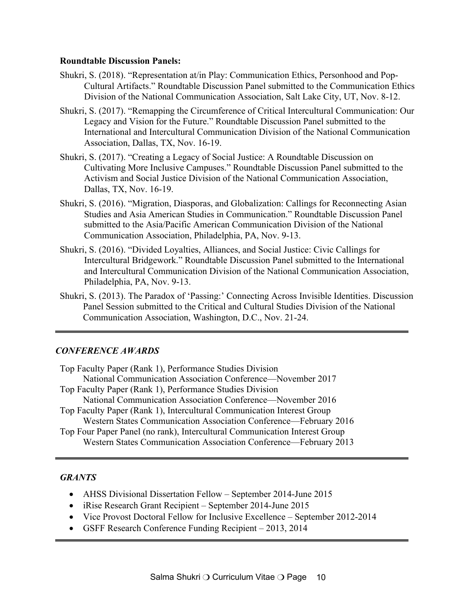#### **Roundtable Discussion Panels:**

- Shukri, S. (2018). "Representation at/in Play: Communication Ethics, Personhood and Pop-Cultural Artifacts." Roundtable Discussion Panel submitted to the Communication Ethics Division of the National Communication Association, Salt Lake City, UT, Nov. 8-12.
- Shukri, S. (2017). "Remapping the Circumference of Critical Intercultural Communication: Our Legacy and Vision for the Future." Roundtable Discussion Panel submitted to the International and Intercultural Communication Division of the National Communication Association, Dallas, TX, Nov. 16-19.
- Shukri, S. (2017). "Creating a Legacy of Social Justice: A Roundtable Discussion on Cultivating More Inclusive Campuses." Roundtable Discussion Panel submitted to the Activism and Social Justice Division of the National Communication Association, Dallas, TX, Nov. 16-19.
- Shukri, S. (2016). "Migration, Diasporas, and Globalization: Callings for Reconnecting Asian Studies and Asia American Studies in Communication." Roundtable Discussion Panel submitted to the Asia/Pacific American Communication Division of the National Communication Association, Philadelphia, PA, Nov. 9-13.
- Shukri, S. (2016). "Divided Loyalties, Alliances, and Social Justice: Civic Callings for Intercultural Bridgework." Roundtable Discussion Panel submitted to the International and Intercultural Communication Division of the National Communication Association, Philadelphia, PA, Nov. 9-13.
- Shukri, S. (2013). The Paradox of 'Passing:' Connecting Across Invisible Identities. Discussion Panel Session submitted to the Critical and Cultural Studies Division of the National Communication Association, Washington, D.C., Nov. 21-24.

### *CONFERENCE AWARDS*

| Top Faculty Paper (Rank 1), Performance Studies Division                   |
|----------------------------------------------------------------------------|
| National Communication Association Conference—November 2017                |
| Top Faculty Paper (Rank 1), Performance Studies Division                   |
| National Communication Association Conference—November 2016                |
| Top Faculty Paper (Rank 1), Intercultural Communication Interest Group     |
| Western States Communication Association Conference—February 2016          |
| Top Four Paper Panel (no rank), Intercultural Communication Interest Group |
| Western States Communication Association Conference—February 2013          |

### *GRANTS*

- AHSS Divisional Dissertation Fellow September 2014-June 2015
- iRise Research Grant Recipient September 2014-June 2015
- Vice Provost Doctoral Fellow for Inclusive Excellence September 2012-2014
- GSFF Research Conference Funding Recipient 2013, 2014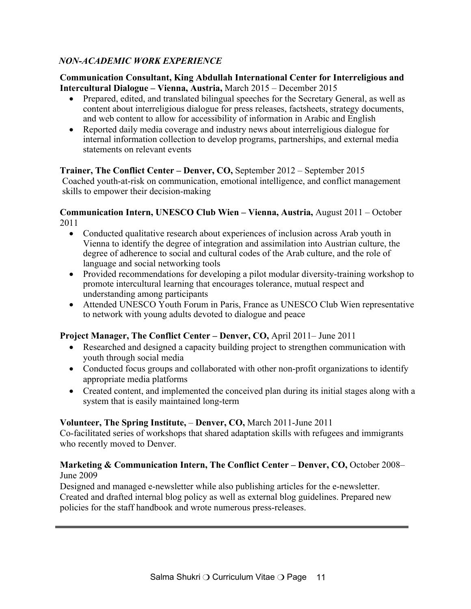# *NON-ACADEMIC WORK EXPERIENCE*

### **Communication Consultant, King Abdullah International Center for Interreligious and Intercultural Dialogue – Vienna, Austria,** March 2015 – December 2015

- Prepared, edited, and translated bilingual speeches for the Secretary General, as well as content about interreligious dialogue for press releases, factsheets, strategy documents, and web content to allow for accessibility of information in Arabic and English
- Reported daily media coverage and industry news about interreligious dialogue for internal information collection to develop programs, partnerships, and external media statements on relevant events

### **Trainer, The Conflict Center – Denver, CO,** September 2012 – September 2015 Coached youth-at-risk on communication, emotional intelligence, and conflict management skills to empower their decision-making

#### **Communication Intern, UNESCO Club Wien – Vienna, Austria,** August 2011 – October 2011

- Conducted qualitative research about experiences of inclusion across Arab youth in Vienna to identify the degree of integration and assimilation into Austrian culture, the degree of adherence to social and cultural codes of the Arab culture, and the role of language and social networking tools
- Provided recommendations for developing a pilot modular diversity-training workshop to promote intercultural learning that encourages tolerance, mutual respect and understanding among participants
- Attended UNESCO Youth Forum in Paris, France as UNESCO Club Wien representative to network with young adults devoted to dialogue and peace

# **Project Manager, The Conflict Center – Denver, CO,** April 2011– June 2011

- Researched and designed a capacity building project to strengthen communication with youth through social media
- Conducted focus groups and collaborated with other non-profit organizations to identify appropriate media platforms
- Created content, and implemented the conceived plan during its initial stages along with a system that is easily maintained long-term

# **Volunteer, The Spring Institute,** – **Denver, CO,** March 2011-June 2011

Co-facilitated series of workshops that shared adaptation skills with refugees and immigrants who recently moved to Denver.

# **Marketing & Communication Intern, The Conflict Center – Denver, CO,** October 2008– June 2009

Designed and managed e-newsletter while also publishing articles for the e-newsletter. Created and drafted internal blog policy as well as external blog guidelines. Prepared new policies for the staff handbook and wrote numerous press-releases.